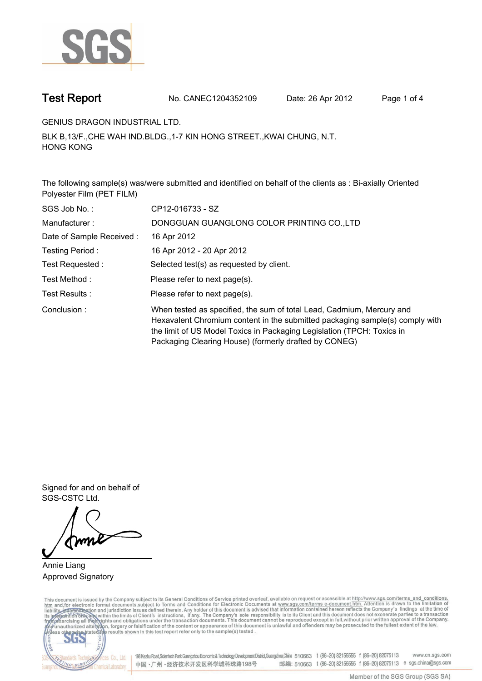

**Test Report. No. CANEC1204352109 Date: 26 Apr 2012. Page 1 of 4.**

**GENIUS DRAGON INDUSTRIAL LTD..**

**BLK B,13/F.,CHE WAH IND.BLDG.,1-7 KIN HONG STREET.,KWAI CHUNG, N.T. HONG KONG.**

**The following sample(s) was/were submitted and identified on behalf of the clients as : Bi-axially Oriented Polyester Film (PET FILM).**

| SGS Job No.:             | CP12-016733 - SZ                                                                                                                                                                                                                                                                         |
|--------------------------|------------------------------------------------------------------------------------------------------------------------------------------------------------------------------------------------------------------------------------------------------------------------------------------|
| Manufacturer:            | DONGGUAN GUANGLONG COLOR PRINTING CO., LTD                                                                                                                                                                                                                                               |
| Date of Sample Received: | 16 Apr 2012                                                                                                                                                                                                                                                                              |
| Testing Period:          | 16 Apr 2012 - 20 Apr 2012                                                                                                                                                                                                                                                                |
| Test Requested :         | Selected test(s) as requested by client.                                                                                                                                                                                                                                                 |
| Test Method :            | Please refer to next page(s).                                                                                                                                                                                                                                                            |
| Test Results:            | Please refer to next page(s).                                                                                                                                                                                                                                                            |
| Conclusion:              | When tested as specified, the sum of total Lead, Cadmium, Mercury and<br>Hexavalent Chromium content in the submitted packaging sample(s) comply with<br>the limit of US Model Toxics in Packaging Legislation (TPCH: Toxics in<br>Packaging Clearing House) (formerly drafted by CONEG) |

**Signed for and on behalf of SGS-CSTC Ltd..**

**Annie Liang. Approved Signatory.**

This document is issued by the Company subject to its General Conditions of Service printed overleaf, available on request or accessible at http://www.sgs.com/terms\_and\_conditions.<br>htm\_and, for electronic format documents,



198 Kezhu Road, Scientech Park Guangzhou Economic & Technology Development District, Guangzhou, China 510663 t (86-20) 82155555 f (86-20) 82075113 www.cn.sgs.com 邮编: 510663 t (86-20) 82155555 f (86-20) 82075113 e sgs.china@sgs.com 中国·广州·经济技术开发区科学城科珠路198号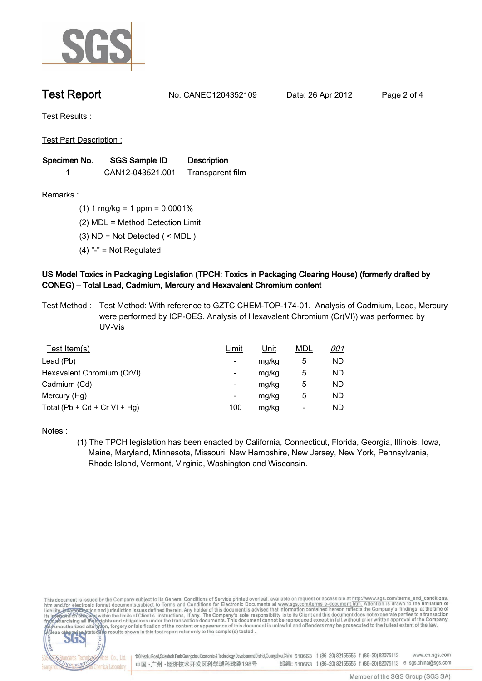

**Test Report. No. CANEC1204352109 Date: 26 Apr 2012. Page 2 of 4.**

**Test Results :.**

**Test Part Description :.**

| Specimen No. | SGS Sample ID    | <b>Description</b> |  |
|--------------|------------------|--------------------|--|
|              | CAN12-043521.001 | Transparent film   |  |

**Remarks :.(1) 1 mg/kg = 1 ppm = 0.0001%.**

**(2) MDL = Method Detection Limit.**

**(3) ND = Not Detected ( < MDL ).**

**(4) "-" = Not Regulated.**

## **US Model Toxics in Packaging Legislation (TPCH: Toxics in Packaging Clearing House) (formerly drafted by CONEG) – Total Lead, Cadmium, Mercury and Hexavalent Chromium content.**

**Test Method :. Test Method: With reference to GZTC CHEM-TOP-174-01. Analysis of Cadmium, Lead, Mercury were performed by ICP-OES. Analysis of Hexavalent Chromium (Cr(VI)) was performed by UV-Vis.**

| Test Item(s)                 | <u>Limit</u> | <u>Unit</u> | <b>MDL</b> | <u>001</u> |
|------------------------------|--------------|-------------|------------|------------|
| Lead (Pb)                    |              | mg/kg       | 5          | ND         |
| Hexavalent Chromium (CrVI)   | -            | mg/kg       | 5          | ND         |
| Cadmium (Cd)                 | -            | mg/kg       | 5          | ND         |
| Mercury (Hg)                 | -            | mg/kg       | 5          | ND         |
| Total (Pb + Cd + Cr VI + Hg) | 100          | mg/kg       |            | ND         |

**Notes :.**

**(1) The TPCH legislation has been enacted by California, Connecticut, Florida, Georgia, Illinois, Iowa, Maine, Maryland, Minnesota, Missouri, New Hampshire, New Jersey, New York, Pennsylvania, Rhode Island, Vermont, Virginia, Washington and Wisconsin..**

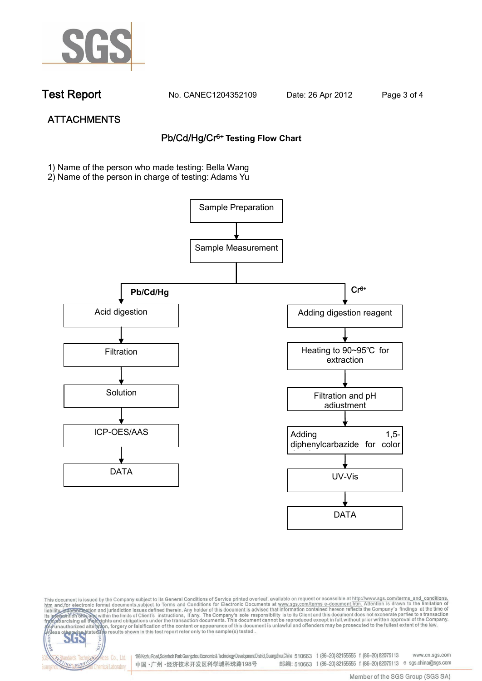

dards Ter

NG SER

vices Co., Ltd.

**Chemical Laboratory** 

**Test Report. No. CANEC1204352109 Date: 26 Apr 2012. Page 3 of 4.**

# **ATTACHMENTS Pb/Cd/Hg/Cr6+ Testing Flow Chart**

**1)** Name of the person who made testing: Bella Wang

2) Name of the person in charge of testing: Adams Yu





198 Kezhu Road,Scientech Park Guangzhou Economic & Technology Development District,Guangzhou,China 510663 t (86-20) 82155555 f (86-20) 82075113 www.cn.sgs.com 邮编: 510663 t (86-20) 82155555 f (86-20) 82075113 e sgs.china@sgs.com 中国·广州·经济技术开发区科学城科珠路198号